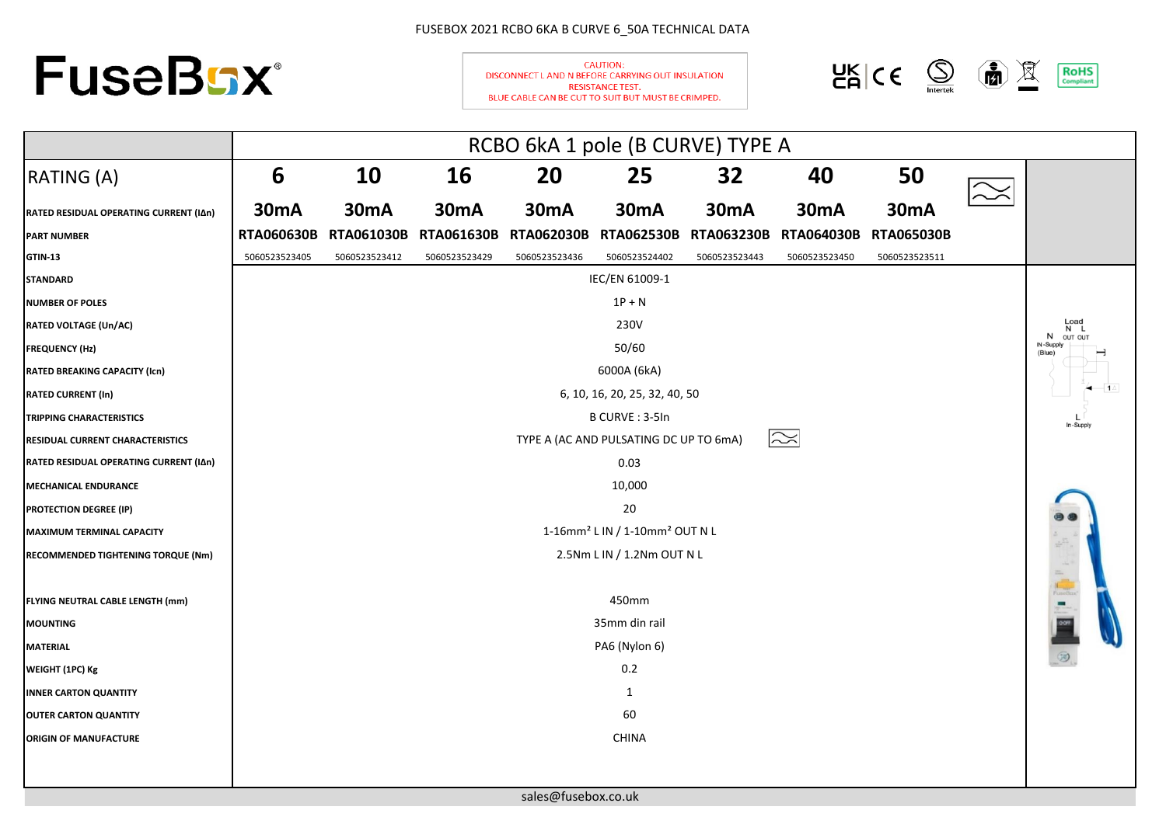## FUSEBOX 2021 RCBO 6KA B CURVE 6\_50A TECHNICAL DATA



**CAUTION:** DISCONNECT L AND N BEFORE CARRYING OUT INSULATION **RESISTANCE TEST.** BLUE CABLE CAN BE CUT TO SUIT BUT MUST BE CRIMPED.



|                                        | RCBO 6kA 1 pole (B CURVE) TYPE A                       |                   |                   |                   |                                        |                   |                   |                   |                           |           |
|----------------------------------------|--------------------------------------------------------|-------------------|-------------------|-------------------|----------------------------------------|-------------------|-------------------|-------------------|---------------------------|-----------|
| RATING (A)                             | 6                                                      | <b>10</b>         | <b>16</b>         | 20                | 25                                     | 32                | 40                | 50                |                           |           |
| RATED RESIDUAL OPERATING CURRENT (IAn) | <b>30mA</b>                                            | <b>30mA</b>       | <b>30mA</b>       | <b>30mA</b>       | <b>30mA</b>                            | <b>30mA</b>       | <b>30mA</b>       | 30mA              |                           |           |
| <b>PART NUMBER</b>                     | <b>RTA060630B</b>                                      | <b>RTA061030B</b> | <b>RTA061630B</b> | <b>RTA062030B</b> | <b>RTA062530B</b>                      | <b>RTA063230B</b> | <b>RTA064030B</b> | <b>RTA065030B</b> |                           |           |
| <b>GTIN-13</b>                         | 5060523523405                                          | 5060523523412     | 5060523523429     | 5060523523436     | 5060523524402                          | 5060523523443     | 5060523523450     | 5060523523511     |                           |           |
| <b>STANDARD</b>                        |                                                        |                   |                   |                   | IEC/EN 61009-1                         |                   |                   |                   |                           |           |
| <b>NUMBER OF POLES</b>                 |                                                        |                   |                   |                   | $1P + N$                               |                   |                   |                   |                           |           |
| <b>RATED VOLTAGE (Un/AC)</b>           | 230V                                                   |                   |                   |                   |                                        |                   |                   |                   | Load<br>N<br>N<br>OUT OUT |           |
| <b>FREQUENCY (Hz)</b>                  |                                                        |                   |                   |                   | 50/60                                  |                   |                   |                   |                           | IN-Supply |
| <b>RATED BREAKING CAPACITY (Icn)</b>   | 6000A (6kA)                                            |                   |                   |                   |                                        |                   |                   |                   |                           |           |
| <b>RATED CURRENT (In)</b>              | 6, 10, 16, 20, 25, 32, 40, 50                          |                   |                   |                   |                                        |                   |                   |                   |                           |           |
| <b>TRIPPING CHARACTERISTICS</b>        | B CURVE: 3-5In                                         |                   |                   |                   |                                        |                   |                   |                   | In-Supply                 |           |
| RESIDUAL CURRENT CHARACTERISTICS       |                                                        |                   |                   |                   | TYPE A (AC AND PULSATING DC UP TO 6mA) |                   | $\approx$         |                   |                           |           |
| RATED RESIDUAL OPERATING CURRENT (IAn) |                                                        |                   |                   |                   | 0.03                                   |                   |                   |                   |                           |           |
| <b>MECHANICAL ENDURANCE</b>            |                                                        |                   |                   |                   | 10,000                                 |                   |                   |                   |                           |           |
| <b>PROTECTION DEGREE (IP)</b>          | 20                                                     |                   |                   |                   |                                        |                   |                   |                   |                           |           |
| <b>MAXIMUM TERMINAL CAPACITY</b>       | 1-16mm <sup>2</sup> L IN / 1-10mm <sup>2</sup> OUT N L |                   |                   |                   |                                        |                   |                   |                   |                           |           |
| RECOMMENDED TIGHTENING TORQUE (Nm)     | 2.5Nm L IN / 1.2Nm OUT N L                             |                   |                   |                   |                                        |                   |                   |                   |                           |           |
|                                        |                                                        |                   |                   |                   |                                        |                   |                   |                   |                           |           |
| FLYING NEUTRAL CABLE LENGTH (mm)       | 450mm                                                  |                   |                   |                   |                                        |                   |                   |                   |                           |           |
| <b>MOUNTING</b>                        | 35mm din rail                                          |                   |                   |                   |                                        |                   |                   |                   |                           |           |
| <b>MATERIAL</b>                        | PA6 (Nylon 6)                                          |                   |                   |                   |                                        |                   |                   |                   |                           |           |
| WEIGHT (1PC) Kg                        | 0.2                                                    |                   |                   |                   |                                        |                   |                   |                   |                           |           |
| <b>INNER CARTON QUANTITY</b>           | 1                                                      |                   |                   |                   |                                        |                   |                   |                   |                           |           |
| <b>OUTER CARTON QUANTITY</b>           | 60                                                     |                   |                   |                   |                                        |                   |                   |                   |                           |           |
| <b>ORIGIN OF MANUFACTURE</b>           |                                                        |                   |                   |                   | <b>CHINA</b>                           |                   |                   |                   |                           |           |
|                                        |                                                        |                   |                   |                   |                                        |                   |                   |                   |                           |           |

[s](mailto:sales@fusebox.co.uk)ales@fusebox.co.uk